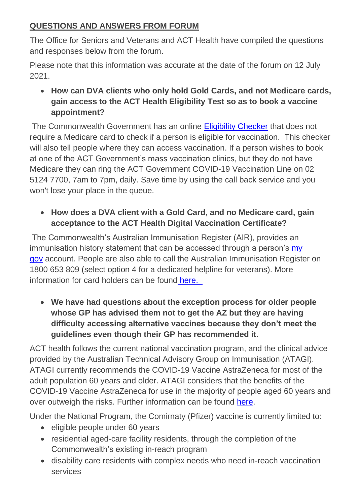## **QUESTIONS AND ANSWERS FROM FORUM**

The Office for Seniors and Veterans and ACT Health have compiled the questions and responses below from the forum.

Please note that this information was accurate at the date of the forum on 12 July 2021.

• **How can DVA clients who only hold Gold Cards, and not Medicare cards, gain access to the ACT Health Eligibility Test so as to book a vaccine appointment?**

The Commonwealth Government has an online [Eligibility Checker](https://www.health.gov.au/resources/apps-and-tools/covid-19-vaccine-eligibility-checker) that does not require a Medicare card to check if a person is eligible for vaccination. This checker will also tell people where they can access vaccination. If a person wishes to book at one of the ACT Government's mass vaccination clinics, but they do not have Medicare they can ring the ACT Government COVID-19 Vaccination Line on 02 5124 7700, 7am to 7pm, daily. Save time by using the call back service and you won't lose your place in the queue.

# • **How does a DVA client with a Gold Card, and no Medicare card, gain acceptance to the ACT Health Digital Vaccination Certificate?**

The Commonwealth's Australian Immunisation Register (AIR), provides an immunisation history statement that can be accessed through a person's my [gov](https://my.gov.au/LoginServices/main/login?execution=e2s1) account. People are also able to call the Australian Immunisation Register on 1800 653 809 (select option 4 for a dedicated helpline for veterans). More information for card holders can be found [here.](https://www.dva.gov.au/newsroom/latest-news-veterans/how-covid-19-vaccination-roll-out-affects-you) 

• **We have had questions about the exception process for older people whose GP has advised them not to get the AZ but they are having difficulty accessing alternative vaccines because they don't meet the guidelines even though their GP has recommended it.**

ACT health follows the current national vaccination program, and the clinical advice provided by the Australian Technical Advisory Group on Immunisation (ATAGI). ATAGI currently recommends the COVID-19 Vaccine AstraZeneca for most of the adult population 60 years and older. ATAGI considers that the benefits of the COVID-19 Vaccine AstraZeneca for use in the majority of people aged 60 years and over outweigh the risks. Further information can be found [here.](https://www.covid19.act.gov.au/stay-safe-and-healthy/vaccine/information-about-the-covid-19-vaccination-program-for-act-clinicians)

Under the National Program, the Comirnaty (Pfizer) vaccine is currently limited to:

- eligible people under 60 years
- residential aged-care facility residents, through the completion of the Commonwealth's existing in-reach program
- disability care residents with complex needs who need in-reach vaccination services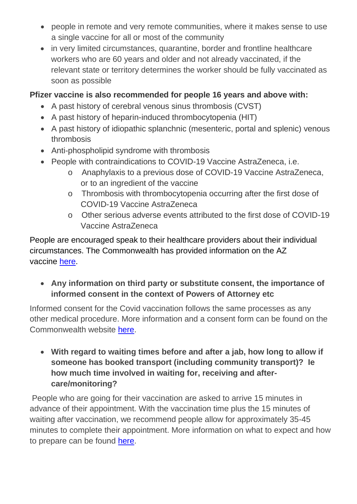- people in remote and very remote communities, where it makes sense to use a single vaccine for all or most of the community
- in very limited circumstances, quarantine, border and frontline healthcare workers who are 60 years and older and not already vaccinated, if the relevant state or territory determines the worker should be fully vaccinated as soon as possible

#### **Pfizer vaccine is also recommended for people 16 years and above with:**

- A past history of cerebral venous sinus thrombosis (CVST)
- A past history of heparin-induced thrombocytopenia (HIT)
- A past history of idiopathic splanchnic (mesenteric, portal and splenic) venous thrombosis
- Anti-phospholipid syndrome with thrombosis
- People with contraindications to COVID-19 Vaccine AstraZeneca, i.e.
	- o Anaphylaxis to a previous dose of COVID-19 Vaccine AstraZeneca, or to an ingredient of the vaccine
	- o Thrombosis with thrombocytopenia occurring after the first dose of COVID-19 Vaccine AstraZeneca
	- o Other serious adverse events attributed to the first dose of COVID-19 Vaccine AstraZeneca

People are encouraged speak to their healthcare providers about their individual circumstances. The Commonwealth has provided information on the AZ vaccine [here.](https://www.health.gov.au/sites/default/files/documents/2021/07/covid-19-vaccination-information-on-covid-19-astrazeneca-vaccine.pdf)

• **Any information on third party or substitute consent, the importance of informed consent in the context of Powers of Attorney etc**

Informed consent for the Covid vaccination follows the same processes as any other medical procedure. More information and a consent form can be found on the Commonwealth website [here.](https://www.health.gov.au/sites/default/files/documents/2021/06/covid-19-vaccination-consent-form-for-covid-19-vaccination-covid-19-vaccination-consent-form_2.pdf)

• **With regard to waiting times before and after a jab, how long to allow if someone has booked transport (including community transport)? Ie how much time involved in waiting for, receiving and aftercare/monitoring?**

People who are going for their vaccination are asked to arrive 15 minutes in advance of their appointment. With the vaccination time plus the 15 minutes of waiting after vaccination, we recommend people allow for approximately 35-45 minutes to complete their appointment. More information on what to expect and how to prepare can be found [here.](https://www.covid19.act.gov.au/stay-safe-and-healthy/vaccine/preparing-for-your-covid-19-vaccination)